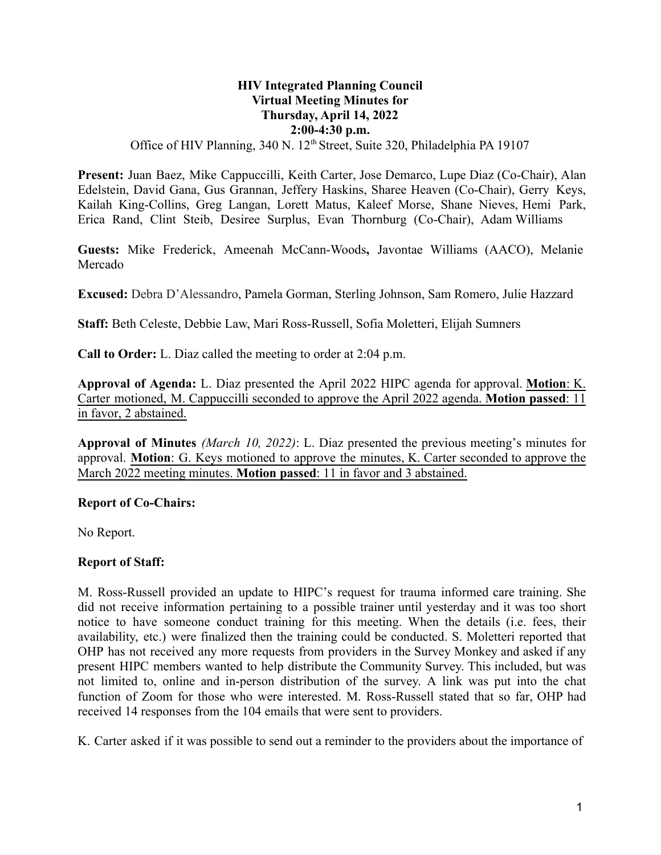## **HIV Integrated Planning Council Virtual Meeting Minutes for Thursday, April 14, 2022 2:00-4:30 p.m.**

# Office of HIV Planning, 340 N. 12<sup>th</sup> Street, Suite 320, Philadelphia PA 19107

**Present:** Juan Baez, Mike Cappuccilli, Keith Carter, Jose Demarco, Lupe Diaz (Co-Chair), Alan Edelstein, David Gana, Gus Grannan, Jeffery Haskins, Sharee Heaven (Co-Chair), Gerry Keys, Kailah King-Collins, Greg Langan, Lorett Matus, Kaleef Morse, Shane Nieves, Hemi Park, Erica Rand, Clint Steib, Desiree Surplus, Evan Thornburg (Co-Chair), Adam Williams

**Guests:** Mike Frederick, Ameenah McCann-Woods**,** Javontae Williams (AACO), Melanie Mercado

**Excused:** Debra D'Alessandro, Pamela Gorman, Sterling Johnson, Sam Romero, Julie Hazzard

**Staff:** Beth Celeste, Debbie Law, Mari Ross-Russell, Sofia Moletteri, Elijah Sumners

**Call to Order:** L. Diaz called the meeting to order at 2:04 p.m.

**Approval of Agenda:** L. Diaz presented the April 2022 HIPC agenda for approval. **Motion**: K. Carter motioned, M. Cappuccilli seconded to approve the April 2022 agenda. **Motion passed**: 11 in favor, 2 abstained.

**Approval of Minutes** *(March 10, 2022)*: L. Diaz presented the previous meeting's minutes for approval. **Motion**: G. Keys motioned to approve the minutes, K. Carter seconded to approve the March 2022 meeting minutes. **Motion passed**: 11 in favor and 3 abstained.

#### **Report of Co-Chairs:**

No Report.

### **Report of Staff:**

M. Ross-Russell provided an update to HIPC's request for trauma informed care training. She did not receive information pertaining to a possible trainer until yesterday and it was too short notice to have someone conduct training for this meeting. When the details (i.e. fees, their availability, etc.) were finalized then the training could be conducted. S. Moletteri reported that OHP has not received any more requests from providers in the Survey Monkey and asked if any present HIPC members wanted to help distribute the Community Survey. This included, but was not limited to, online and in-person distribution of the survey. A link was put into the chat function of Zoom for those who were interested. M. Ross-Russell stated that so far, OHP had received 14 responses from the 104 emails that were sent to providers.

K. Carter asked if it was possible to send out a reminder to the providers about the importance of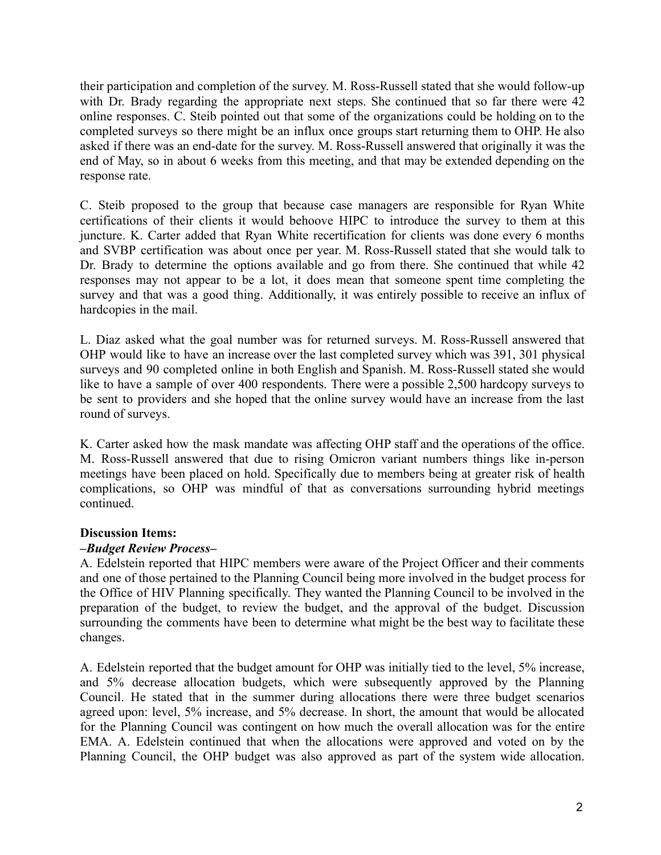their participation and completion of the survey. M. Ross-Russell stated that she would follow-up with Dr. Brady regarding the appropriate next steps. She continued that so far there were 42 online responses. C. Steib pointed out that some of the organizations could be holding on to the completed surveys so there might be an influx once groups start returning them to OHP. He also asked if there was an end-date for the survey. M. Ross-Russell answered that originally it was the end of May, so in about 6 weeks from this meeting, and that may be extended depending on the response rate.

C. Steib proposed to the group that because case managers are responsible for Ryan White certifications of their clients it would behoove HIPC to introduce the survey to them at this juncture. K. Carter added that Ryan White recertification for clients was done every 6 months and SVBP certification was about once per year. M. Ross-Russell stated that she would talk to Dr. Brady to determine the options available and go from there. She continued that while 42 responses may not appear to be a lot, it does mean that someone spent time completing the survey and that was a good thing. Additionally, it was entirely possible to receive an influx of hardcopies in the mail.

L. Diaz asked what the goal number was for returned surveys. M. Ross-Russell answered that OHP would like to have an increase over the last completed survey which was 391, 301 physical surveys and 90 completed online in both English and Spanish. M. Ross-Russell stated she would like to have a sample of over 400 respondents. There were a possible 2,500 hardcopy surveys to be sent to providers and she hoped that the online survey would have an increase from the last round of surveys.

K. Carter asked how the mask mandate was affecting OHP staff and the operations of the office. M. Ross-Russell answered that due to rising Omicron variant numbers things like in-person meetings have been placed on hold. Specifically due to members being at greater risk of health complications, so OHP was mindful of that as conversations surrounding hybrid meetings continued.

### **Discussion Items:**

### *–Budget Review Process–*

A. Edelstein reported that HIPC members were aware of the Project Officer and their comments and one of those pertained to the Planning Council being more involved in the budget process for the Office of HIV Planning specifically. They wanted the Planning Council to be involved in the preparation of the budget, to review the budget, and the approval of the budget. Discussion surrounding the comments have been to determine what might be the best way to facilitate these changes.

A. Edelstein reported that the budget amount for OHP was initially tied to the level, 5% increase, and 5% decrease allocation budgets, which were subsequently approved by the Planning Council. He stated that in the summer during allocations there were three budget scenarios agreed upon: level, 5% increase, and 5% decrease. In short, the amount that would be allocated for the Planning Council was contingent on how much the overall allocation was for the entire EMA. A. Edelstein continued that when the allocations were approved and voted on by the Planning Council, the OHP budget was also approved as part of the system wide allocation.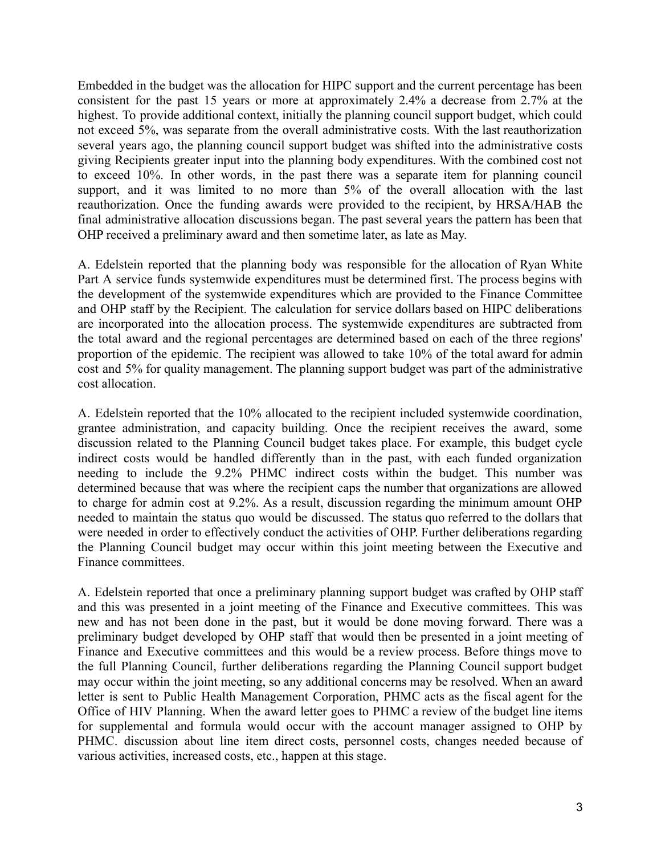Embedded in the budget was the allocation for HIPC support and the current percentage has been consistent for the past 15 years or more at approximately 2.4% a decrease from 2.7% at the highest. To provide additional context, initially the planning council support budget, which could not exceed 5%, was separate from the overall administrative costs. With the last reauthorization several years ago, the planning council support budget was shifted into the administrative costs giving Recipients greater input into the planning body expenditures. With the combined cost not to exceed 10%. In other words, in the past there was a separate item for planning council support, and it was limited to no more than 5% of the overall allocation with the last reauthorization. Once the funding awards were provided to the recipient, by HRSA/HAB the final administrative allocation discussions began. The past several years the pattern has been that OHP received a preliminary award and then sometime later, as late as May.

A. Edelstein reported that the planning body was responsible for the allocation of Ryan White Part A service funds systemwide expenditures must be determined first. The process begins with the development of the systemwide expenditures which are provided to the Finance Committee and OHP staff by the Recipient. The calculation for service dollars based on HIPC deliberations are incorporated into the allocation process. The systemwide expenditures are subtracted from the total award and the regional percentages are determined based on each of the three regions' proportion of the epidemic. The recipient was allowed to take 10% of the total award for admin cost and 5% for quality management. The planning support budget was part of the administrative cost allocation.

A. Edelstein reported that the 10% allocated to the recipient included systemwide coordination, grantee administration, and capacity building. Once the recipient receives the award, some discussion related to the Planning Council budget takes place. For example, this budget cycle indirect costs would be handled differently than in the past, with each funded organization needing to include the 9.2% PHMC indirect costs within the budget. This number was determined because that was where the recipient caps the number that organizations are allowed to charge for admin cost at 9.2%. As a result, discussion regarding the minimum amount OHP needed to maintain the status quo would be discussed. The status quo referred to the dollars that were needed in order to effectively conduct the activities of OHP. Further deliberations regarding the Planning Council budget may occur within this joint meeting between the Executive and Finance committees.

A. Edelstein reported that once a preliminary planning support budget was crafted by OHP staff and this was presented in a joint meeting of the Finance and Executive committees. This was new and has not been done in the past, but it would be done moving forward. There was a preliminary budget developed by OHP staff that would then be presented in a joint meeting of Finance and Executive committees and this would be a review process. Before things move to the full Planning Council, further deliberations regarding the Planning Council support budget may occur within the joint meeting, so any additional concerns may be resolved. When an award letter is sent to Public Health Management Corporation, PHMC acts as the fiscal agent for the Office of HIV Planning. When the award letter goes to PHMC a review of the budget line items for supplemental and formula would occur with the account manager assigned to OHP by PHMC. discussion about line item direct costs, personnel costs, changes needed because of various activities, increased costs, etc., happen at this stage.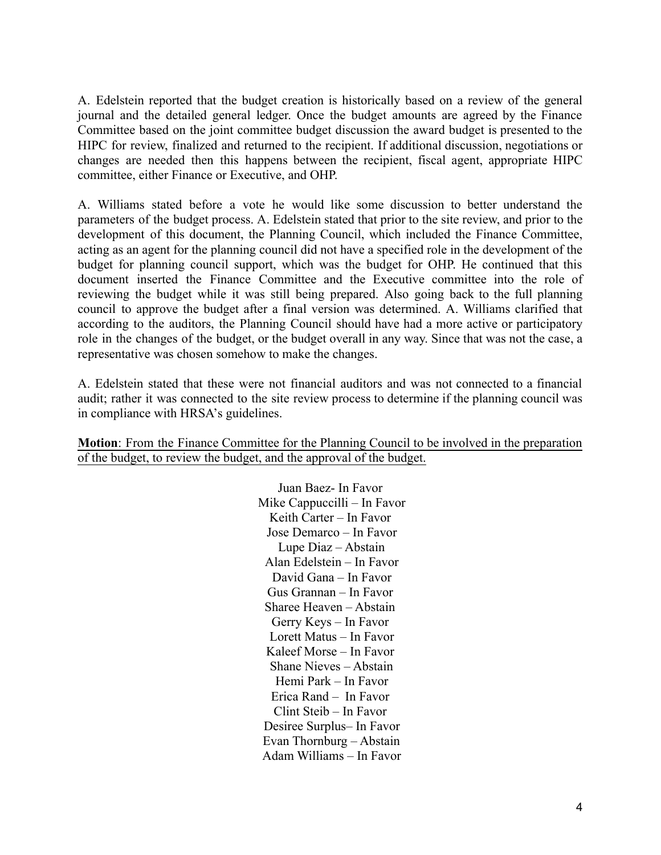A. Edelstein reported that the budget creation is historically based on a review of the general journal and the detailed general ledger. Once the budget amounts are agreed by the Finance Committee based on the joint committee budget discussion the award budget is presented to the HIPC for review, finalized and returned to the recipient. If additional discussion, negotiations or changes are needed then this happens between the recipient, fiscal agent, appropriate HIPC committee, either Finance or Executive, and OHP.

A. Williams stated before a vote he would like some discussion to better understand the parameters of the budget process. A. Edelstein stated that prior to the site review, and prior to the development of this document, the Planning Council, which included the Finance Committee, acting as an agent for the planning council did not have a specified role in the development of the budget for planning council support, which was the budget for OHP. He continued that this document inserted the Finance Committee and the Executive committee into the role of reviewing the budget while it was still being prepared. Also going back to the full planning council to approve the budget after a final version was determined. A. Williams clarified that according to the auditors, the Planning Council should have had a more active or participatory role in the changes of the budget, or the budget overall in any way. Since that was not the case, a representative was chosen somehow to make the changes.

A. Edelstein stated that these were not financial auditors and was not connected to a financial audit; rather it was connected to the site review process to determine if the planning council was in compliance with HRSA's guidelines.

**Motion**: From the Finance Committee for the Planning Council to be involved in the preparation of the budget, to review the budget, and the approval of the budget.

> Juan Baez- In Favor Mike Cappuccilli – In Favor Keith Carter – In Favor Jose Demarco – In Favor Lupe Diaz – Abstain Alan Edelstein – In Favor David Gana – In Favor Gus Grannan – In Favor Sharee Heaven – Abstain Gerry Keys – In Favor Lorett Matus – In Favor Kaleef Morse – In Favor Shane Nieves – Abstain Hemi Park – In Favor Erica Rand – In Favor Clint Steib – In Favor Desiree Surplus– In Favor Evan Thornburg – Abstain Adam Williams – In Favor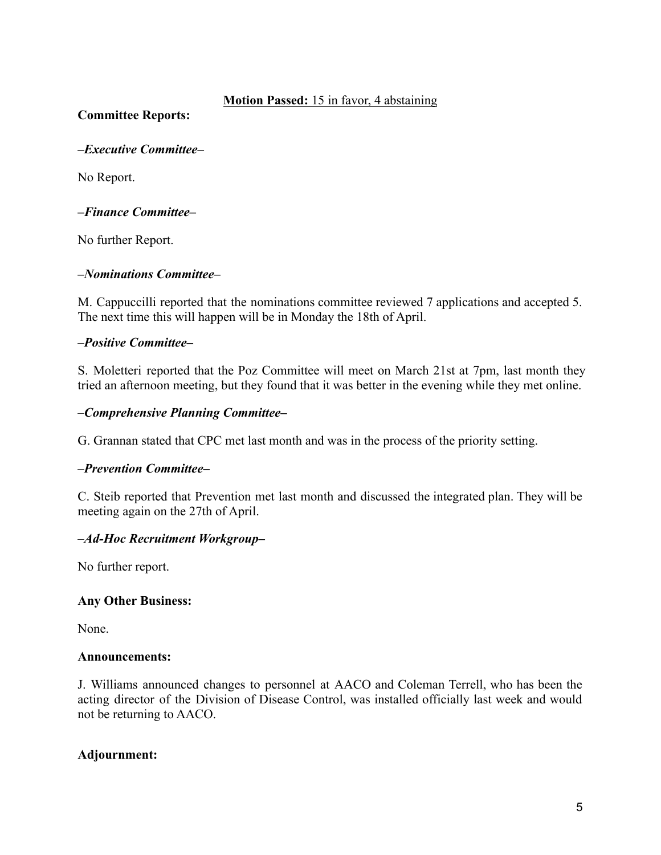### **Motion Passed:** 15 in favor, 4 abstaining

**Committee Reports:**

## *–Executive Committee–*

No Report.

## *–Finance Committee–*

No further Report.

### *–Nominations Committee–*

M. Cappuccilli reported that the nominations committee reviewed 7 applications and accepted 5. The next time this will happen will be in Monday the 18th of April.

### *–Positive Committee–*

S. Moletteri reported that the Poz Committee will meet on March 21st at 7pm, last month they tried an afternoon meeting, but they found that it was better in the evening while they met online.

### *–Comprehensive Planning Committee–*

G. Grannan stated that CPC met last month and was in the process of the priority setting.

### *–Prevention Committee–*

C. Steib reported that Prevention met last month and discussed the integrated plan. They will be meeting again on the 27th of April.

### *–Ad-Hoc Recruitment Workgroup–*

No further report.

### **Any Other Business:**

None.

#### **Announcements:**

J. Williams announced changes to personnel at AACO and Coleman Terrell, who has been the acting director of the Division of Disease Control, was installed officially last week and would not be returning to AACO.

### **Adjournment:**